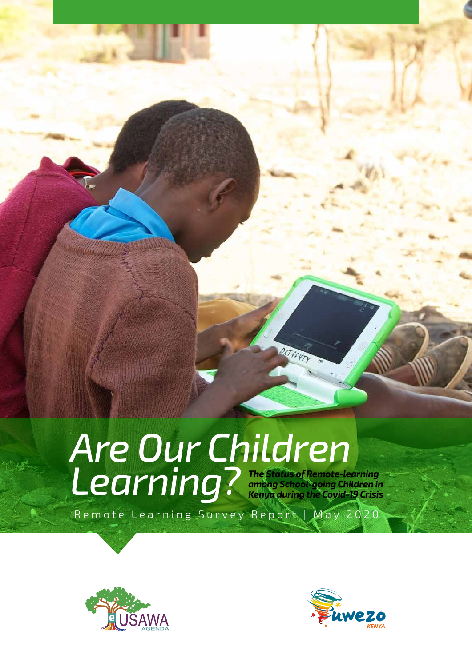# *Are Our Children*  Learning? The Status of Remote-learning<br>
Kenya during the Covid-19 Crisis *among School-going Children in Kenya during the Covid-19 Crisis*

Remote Learning Survey Report | May 2020





KTffyty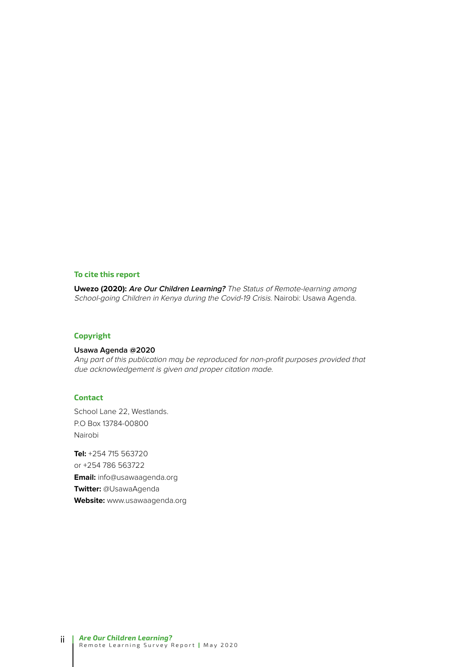#### **To cite this report**

**Uwezo (2020): Are Our Children Learning?** The Status of Remote-learning among School-going Children in Kenya during the Covid-19 Crisis. Nairobi: Usawa Agenda.

#### **Copyright**

#### **Usawa Agenda @2020**

Any part of this publication may be reproduced for non-profit purposes provided that due acknowledgement is given and proper citation made.

#### **Contact**

School Lane 22, Westlands. P.O Box 13784-00800 Nairobi

**Tel:** +254 715 563720 or +254 786 563722 **Email:** info@usawaagenda.org **Twitter:** @UsawaAgenda **Website:** www.usawaagenda.org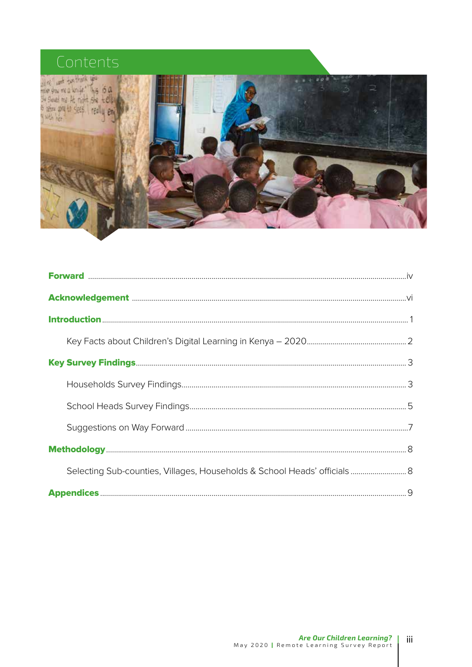# Contents



| Selecting Sub-counties, Villages, Households & School Heads' officials 8 |  |
|--------------------------------------------------------------------------|--|
|                                                                          |  |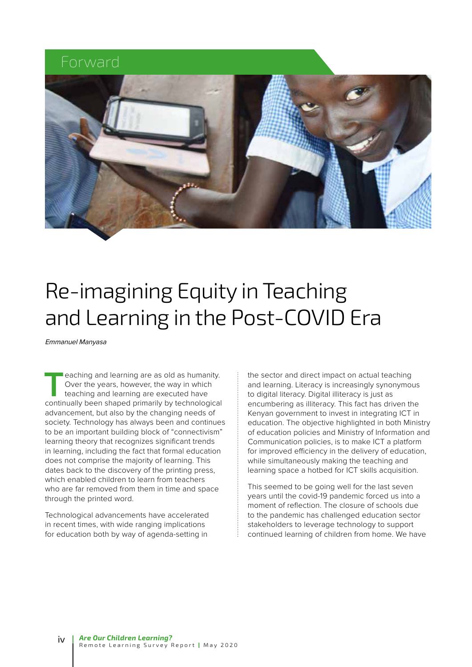### Forward



# Re-imagining Equity in Teaching and Learning in the Post-COVID Era

Emmanuel Manyasa

**T**eaching and learning are as old as humanity. Over the years, however, the way in which teaching and learning are executed have continually been shaped primarily by technological advancement, but also by the changing needs of society. Technology has always been and continues to be an important building block of "connectivism" learning theory that recognizes significant trends in learning, including the fact that formal education does not comprise the majority of learning. This dates back to the discovery of the printing press, which enabled children to learn from teachers who are far removed from them in time and space through the printed word.

Technological advancements have accelerated in recent times, with wide ranging implications for education both by way of agenda-setting in

the sector and direct impact on actual teaching and learning. Literacy is increasingly synonymous to digital literacy. Digital illiteracy is just as encumbering as illiteracy. This fact has driven the Kenyan government to invest in integrating ICT in education. The objective highlighted in both Ministry of education policies and Ministry of Information and Communication policies, is to make ICT a platform for improved efficiency in the delivery of education, while simultaneously making the teaching and learning space a hotbed for ICT skills acquisition.

This seemed to be going well for the last seven years until the covid-19 pandemic forced us into a moment of reflection. The closure of schools due to the pandemic has challenged education sector stakeholders to leverage technology to support continued learning of children from home. We have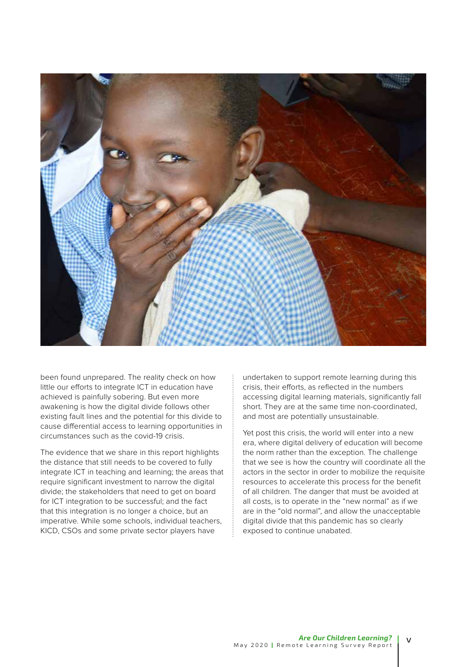

been found unprepared. The reality check on how little our efforts to integrate ICT in education have achieved is painfully sobering. But even more awakening is how the digital divide follows other existing fault lines and the potential for this divide to cause differential access to learning opportunities in circumstances such as the covid-19 crisis.

The evidence that we share in this report highlights the distance that still needs to be covered to fully integrate ICT in teaching and learning; the areas that require significant investment to narrow the digital divide; the stakeholders that need to get on board for ICT integration to be successful; and the fact that this integration is no longer a choice, but an imperative. While some schools, individual teachers, KICD, CSOs and some private sector players have

undertaken to support remote learning during this crisis, their efforts, as reflected in the numbers accessing digital learning materials, significantly fall short. They are at the same time non-coordinated, and most are potentially unsustainable.

Yet post this crisis, the world will enter into a new era, where digital delivery of education will become the norm rather than the exception. The challenge that we see is how the country will coordinate all the actors in the sector in order to mobilize the requisite resources to accelerate this process for the benefit of all children. The danger that must be avoided at all costs, is to operate in the "new normal" as if we are in the "old normal", and allow the unacceptable digital divide that this pandemic has so clearly exposed to continue unabated.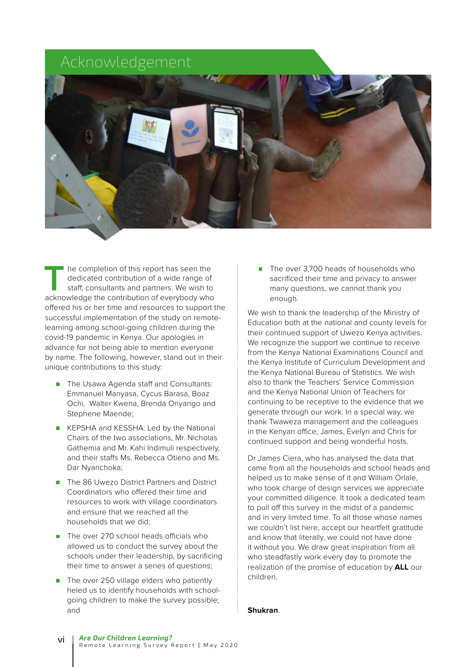# Acknowledgement



The completion of this report has seen the<br>dedicated contribution of a wide range of<br>staff, consultants and partners. We wish to<br>acknowledge the contribution of everybody who dedicated contribution of a wide range of staff, consultants and partners. We wish to acknowledge the contribution of everybody who offered his or her time and resources to support the successful implementation of the study on remotelearning among school-going children during the covid-19 pandemic in Kenya. Our apologies in advance for not being able to mention everyone by name. The following, however, stand out in their unique contributions to this study:

- The Usawa Agenda staff and Consultants: Emmanuel Manyasa, Cycus Barasa, Boaz Ochi, Walter Kwena, Brenda Onyango and Stephene Maende;
- KEPSHA and KESSHA: Led by the National Chairs of the two associations, Mr. Nicholas Gathemia and Mr. Kahi Indimuli respectively, and their staffs Ms. Rebecca Otieno and Ms. Dar Nyanchoka;
- The 86 Uwezo District Partners and District Coordinators who offered their time and resources to work with village coordinators and ensure that we reached all the households that we did;
- The over 270 school heads officials who allowed us to conduct the survey about the schools under their leadership, by sacrificing their time to answer a series of questions;
- The over 250 village elders who patiently heled us to identify households with schoolgoing children to make the survey possible; and

The over 3,700 heads of households who sacrificed their time and privacy to answer many questions, we cannot thank you enough.

We wish to thank the leadership of the Ministry of Education both at the national and county levels for their continued support of Uwezo Kenya activities. We recognize the support we continue to receive from the Kenya National Examinations Council and the Kenya Institute of Curriculum Development and the Kenya National Bureau of Statistics. We wish also to thank the Teachers' Service Commission and the Kenya National Union of Teachers for continuing to be receptive to the evidence that we generate through our work. In a special way, we thank Twaweza management and the colleagues in the Kenyan office, James, Evelyn and Chris for continued support and being wonderful hosts.

Dr James Ciera, who has analysed the data that came from all the households and school heads and helped us to make sense of it and William Orlale, who took charge of design services we appreciate your committed diligence. It took a dedicated team to pull off this survey in the midst of a pandemic and in very limited time. To all those whose names we couldn't list here, accept our heartfelt gratitude and know that literally, we could not have done it without you. We draw great inspiration from all who steadfastly work every day to promote the realization of the promise of education by **ALL** our children.

#### **Shukran**.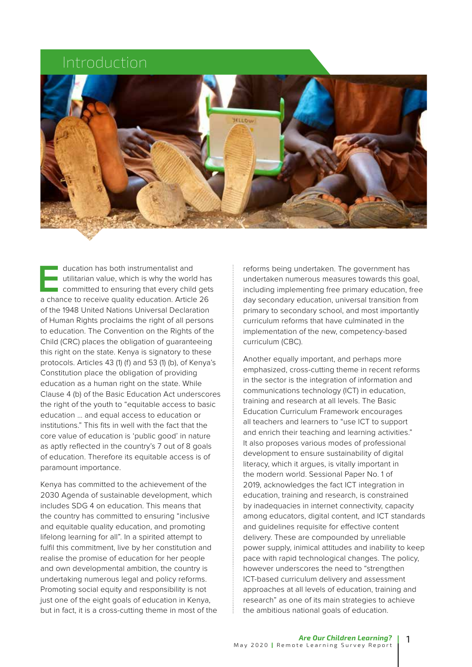## Introduction



ducation has both instrumentalist and<br>utilitarian value, which is why the work<br>committed to ensuring that every child<br>a chance to receive quality education. Article utilitarian value, which is why the world has committed to ensuring that every child gets a chance to receive quality education. Article 26 of the 1948 United Nations Universal Declaration of Human Rights proclaims the right of all persons to education. The Convention on the Rights of the Child (CRC) places the obligation of guaranteeing this right on the state. Kenya is signatory to these protocols. Articles 43 (1) (f) and 53 (1) (b), of Kenya's Constitution place the obligation of providing education as a human right on the state. While Clause 4 (b) of the Basic Education Act underscores the right of the youth to "equitable access to basic education … and equal access to education or institutions." This fits in well with the fact that the core value of education is 'public good' in nature as aptly reflected in the country's 7 out of 8 goals of education. Therefore its equitable access is of paramount importance.

Kenya has committed to the achievement of the 2030 Agenda of sustainable development, which includes SDG 4 on education. This means that the country has committed to ensuring "inclusive and equitable quality education, and promoting lifelong learning for all". In a spirited attempt to fulfil this commitment, live by her constitution and realise the promise of education for her people and own developmental ambition, the country is undertaking numerous legal and policy reforms. Promoting social equity and responsibility is not just one of the eight goals of education in Kenya, but in fact, it is a cross-cutting theme in most of the

reforms being undertaken. The government has undertaken numerous measures towards this goal, including implementing free primary education, free day secondary education, universal transition from primary to secondary school, and most importantly curriculum reforms that have culminated in the implementation of the new, competency-based curriculum (CBC).

Another equally important, and perhaps more emphasized, cross-cutting theme in recent reforms in the sector is the integration of information and communications technology (ICT) in education, training and research at all levels. The Basic Education Curriculum Framework encourages all teachers and learners to "use ICT to support and enrich their teaching and learning activities." It also proposes various modes of professional development to ensure sustainability of digital literacy, which it argues, is vitally important in the modern world. Sessional Paper No. 1 of 2019, acknowledges the fact ICT integration in education, training and research, is constrained by inadequacies in internet connectivity, capacity among educators, digital content, and ICT standards and guidelines requisite for effective content delivery. These are compounded by unreliable power supply, inimical attitudes and inability to keep pace with rapid technological changes. The policy, however underscores the need to "strengthen ICT-based curriculum delivery and assessment approaches at all levels of education, training and research" as one of its main strategies to achieve the ambitious national goals of education.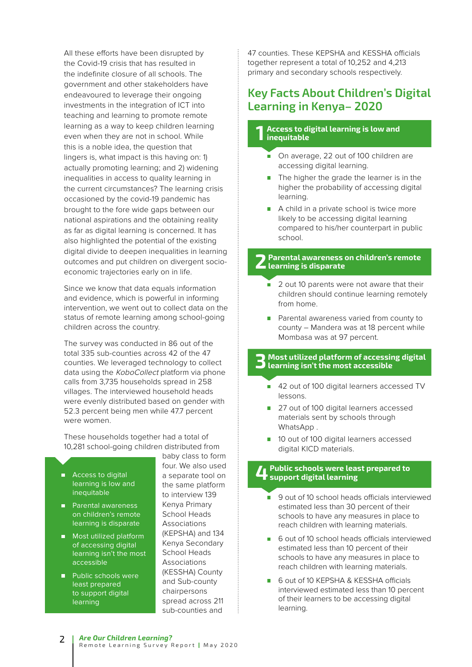All these efforts have been disrupted by the Covid-19 crisis that has resulted in the indefinite closure of all schools. The government and other stakeholders have endeavoured to leverage their ongoing investments in the integration of ICT into teaching and learning to promote remote learning as a way to keep children learning even when they are not in school. While this is a noble idea, the question that lingers is, what impact is this having on: 1) actually promoting learning; and 2) widening inequalities in access to quality learning in the current circumstances? The learning crisis occasioned by the covid-19 pandemic has brought to the fore wide gaps between our national aspirations and the obtaining reality as far as digital learning is concerned. It has also highlighted the potential of the existing digital divide to deepen inequalities in learning outcomes and put children on divergent socioeconomic trajectories early on in life.

Since we know that data equals information and evidence, which is powerful in informing intervention, we went out to collect data on the status of remote learning among school-going children across the country.

The survey was conducted in 86 out of the total 335 sub-counties across 42 of the 47 counties. We leveraged technology to collect data using the KoboCollect platform via phone calls from 3,735 households spread in 258 villages. The interviewed household heads were evenly distributed based on gender with 52.3 percent being men while 47.7 percent were women.

These households together had a total of 10,281 school-going children distributed from

- $\blacksquare$ Access to digital learning is low and inequitable
- **Parental awareness** on children's remote learning is disparate
- Most utilized platform of accessing digital learning isn't the most accessible
- **Public schools were** least prepared to support digital learning

baby class to form four. We also used a separate tool on the same platform to interview 139 Kenya Primary School Heads Associations (KEPSHA) and 134 Kenya Secondary School Heads Associations (KESSHA) County and Sub-county chairpersons spread across 211 sub-counties and

47 counties. These KEPSHA and KESSHA officials together represent a total of 10,252 and 4,213 primary and secondary schools respectively.

### **Key Facts About Children's Digital Learning in Kenya– 2020**

#### **1 Access to digital learning is low and inequitable**

- On average, 22 out of 100 children are accessing digital learning.
- The higher the grade the learner is in the higher the probability of accessing digital learning.
- A child in a private school is twice more likely to be accessing digital learning compared to his/her counterpart in public school.

#### **2 Parental awareness on children's remote learning is disparate**

- $\overline{2}$  out 10 parents were not aware that their children should continue learning remotely from home.
- **Parental awareness varied from county to** county – Mandera was at 18 percent while Mombasa was at 97 percent.

#### **3 Most utilized platform of accessing digital learning isn't the most accessible**

- 42 out of 100 digital learners accessed TV lessons.
- 27 out of 100 digital learners accessed materials sent by schools through WhatsApp .
- 10 out of 100 digital learners accessed digital KICD materials.

#### **4Public schools were least prepared to support digital learning**

- 9 out of 10 school heads officials interviewed estimated less than 30 percent of their schools to have any measures in place to reach children with learning materials.
- 6 out of 10 school heads officials interviewed estimated less than 10 percent of their schools to have any measures in place to reach children with learning materials.
- 6 out of 10 KEPSHA & KESSHA officials interviewed estimated less than 10 percent of their learners to be accessing digital learning.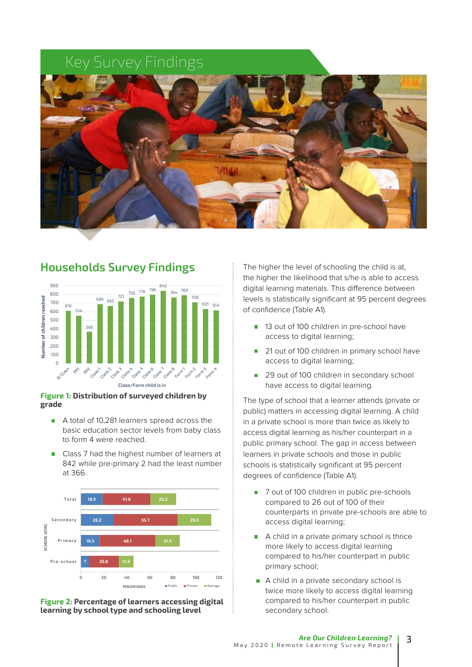# Key Survey Findings



### **Households Survey Findings** 900



#### **Figure 1: Distribution of surveyed children by grade**

- A total of 10,281 learners spread across the basic education sector levels from baby class to form 4 were reached.
- Class 7 had the highest number of learners at 842 while pre-primary 2 had the least number at 366.





The higher the level of schooling the child is at, the higher the likelihood that s/he is able to access digital learning materials. This difference between levels is statistically significant at 95 percent degrees of confidence (Table A1).

- 13 out of 100 children in pre-school have access to digital learning;
- $\blacksquare$ 21 out of 100 children in primary school have access to digital learning;
- $\mathcal{L}_{\mathcal{A}}$ 29 out of 100 children in secondary school have access to digital learning.

The type of school that a learner attends (private or public) matters in accessing digital learning. A child in a private school is more than twice as likely to access digital learning as his/her counterpart in a public primary school. The gap in access between learners in private schools and those in public schools is statistically significant at 95 percent degrees of confidence (Table A1).

- 7 out of 100 children in public pre-schools compared to 26 out of 100 of their counterparts in private pre-schools are able to access digital learning;
- A child in a private primary school is thrice more likely to access digital learning compared to his/her counterpart in public primary school;
- A child in a private secondary school is twice more likely to access digital learning compared to his/her counterpart in public secondary school.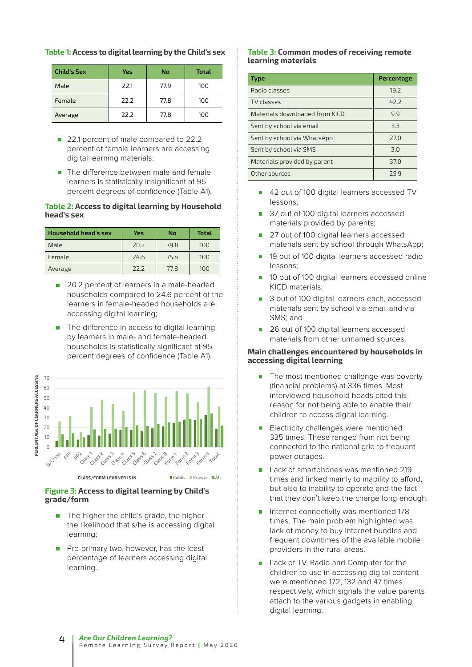|  |  | Table 1: Access to digital learning by the Child's sex |
|--|--|--------------------------------------------------------|
|--|--|--------------------------------------------------------|

| <b>Child's Sex</b> | Yes  | No   | <b>Total</b> |
|--------------------|------|------|--------------|
| Male               | 22.1 | 77.9 | 100          |
| Female             | 22.2 | 77.8 | 100          |
| Average            | 22.2 | 77.8 | 100          |

- 22.1 percent of male compared to 22.2 percent of female learners are accessing digital learning materials;
- The difference between male and female learners is statistically insignificant at 95 percent degrees of confidence (Table A1).

#### **Table 2: Access to digital learning by Household head's sex**

| Household head's sex | Yes  | No   | <b>Total</b> |
|----------------------|------|------|--------------|
| Male                 | 20.2 | 79.8 | 100          |
| Female               | 24.6 | 75.4 | 100          |
| Average              | 77.7 | 77.8 | 100          |

- 20.2 percent of learners in a male-headed households compared to 24.6 percent of the learners in female-headed households are accessing digital learning;
- The difference in access to digital learning  $\overline{\phantom{a}}$ by learners in male- and female-headed households is statistically significant at 95 percent degrees of confidence (Table A1).



#### **Figure 3: Access to digital learning by Child's grade/form**

- The higher the child's grade, the higher the likelihood that s/he is accessing digital learning;
- Pre-primary two, however, has the least percentage of learners accessing digital learning.

#### **Table 3: Common modes of receiving remote learning materials**

| <b>Type</b>                    | Percentage |
|--------------------------------|------------|
| Radio classes                  | 19.2       |
| TV classes                     | 42.2       |
| Materials downloaded from KICD | 9.9        |
| Sent by school via email       | 3.3        |
| Sent by school via WhatsApp    | 27.0       |
| Sent by school via SMS         | 3.0        |
| Materials provided by parent   | 37.0       |
| Other sources                  | 25 g       |

- 42 out of 100 digital learners accessed TV lessons;
- 37 out of 100 digital learners accessed materials provided by parents;
- 27 out of 100 digital learners accessed  $\mathcal{C}^{\mathcal{A}}$ materials sent by school through WhatsApp;
- 19 out of 100 digital learners accessed radio F lessons;
- 10 out of 100 digital learners accessed online KICD materials;
- 3 out of 100 digital learners each, accessed materials sent by school via email and via SMS; and
- 26 out of 100 digital learners accessed materials from other unnamed sources.

#### **Main challenges encountered by households in accessing digital learning**

- The most mentioned challenge was poverty (financial problems) at 336 times. Most interviewed household heads cited this reason for not being able to enable their children to access digital learning.
- Electricity challenges were mentioned 335 times. These ranged from not being connected to the national grid to frequent power outages.
- Lack of smartphones was mentioned 219 times and linked mainly to inability to afford, but also to inability to operate and the fact that they don't keep the charge long enough.
- Internet connectivity was mentioned 178 times. The main problem highlighted was lack of money to buy internet bundles and frequent downtimes of the available mobile providers in the rural areas.
- Lack of TV, Radio and Computer for the children to use in accessing digital content were mentioned 172, 132 and 47 times respectively, which signals the value parents attach to the various gadgets in enabling digital learning.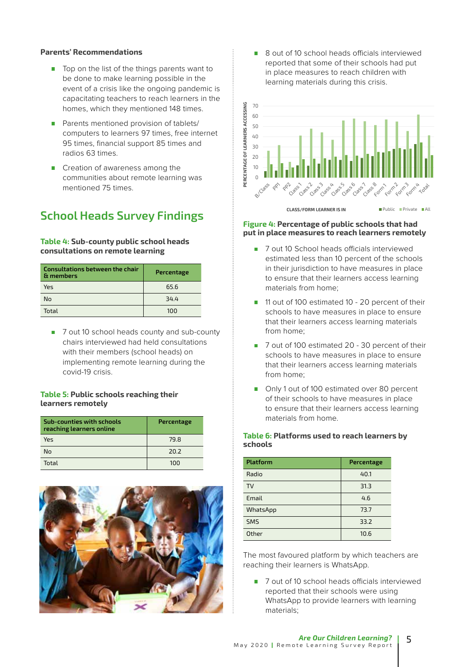#### **Parents' Recommendations**

- $\blacksquare$  Top on the list of the things parents want to be done to make learning possible in the event of a crisis like the ongoing pandemic is capacitating teachers to reach learners in the homes, which they mentioned 148 times.
- **Parents mentioned provision of tablets/** computers to learners 97 times, free internet 95 times, financial support 85 times and radios 63 times.
- Creation of awareness among the communities about remote learning was mentioned 75 times.

### **School Heads Survey Findings**

#### **Table 4: Sub-county public school heads consultations on remote learning**

| Consultations between the chair<br>& members | Percentage |
|----------------------------------------------|------------|
| Yes                                          | 65.6       |
| No                                           | 34.4       |
| Total                                        | 100        |

■ 7 out 10 school heads county and sub-county chairs interviewed had held consultations with their members (school heads) on implementing remote learning during the covid-19 crisis.

#### **Table 5: Public schools reaching their learners remotely**

| Sub-counties with schools<br>reaching learners online | Percentage |
|-------------------------------------------------------|------------|
| Yes                                                   | 79.8       |
| No                                                    | 20.2       |
| Total                                                 | 100        |



■ 8 out of 10 school heads officials interviewed reported that some of their schools had put in place measures to reach children with learning materials during this crisis.



#### **Figure 4: Percentage of public schools that had put in place measures to reach learners remotely**

- 7 out 10 School heads officials interviewed estimated less than 10 percent of the schools in their jurisdiction to have measures in place to ensure that their learners access learning materials from home;
- 11 out of 100 estimated 10 20 percent of their schools to have measures in place to ensure that their learners access learning materials from home;
- 7 out of 100 estimated 20 30 percent of their schools to have measures in place to ensure that their learners access learning materials from home;
- Only 1 out of 100 estimated over 80 percent of their schools to have measures in place to ensure that their learners access learning materials from home.

#### **Table 6: Platforms used to reach learners by schools**

| <b>Platform</b> | Percentage |
|-----------------|------------|
| Radio           | 40.1       |
| <b>TV</b>       | 31.3       |
| Email           | 4.6        |
| WhatsApp        | 73.7       |
| <b>SMS</b>      | 33.2       |
| Other           | 10.6       |

The most favoured platform by which teachers are reaching their learners is WhatsApp.

■ 7 out of 10 school heads officials interviewed reported that their schools were using WhatsApp to provide learners with learning materials;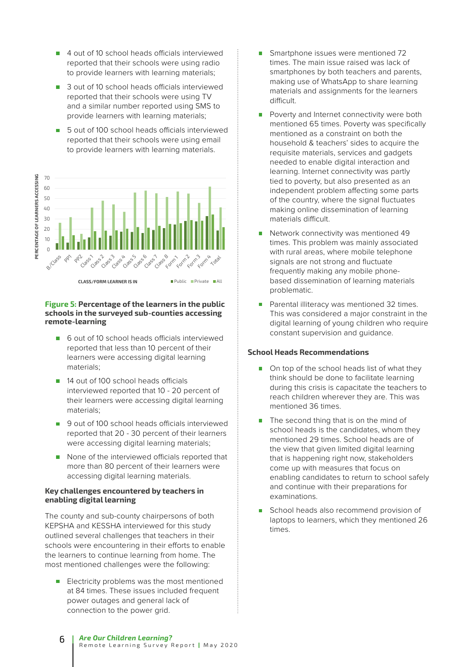- 4 out of 10 school heads officials interviewed reported that their schools were using radio to provide learners with learning materials;
- 3 out of 10 school heads officials interviewed reported that their schools were using TV and a similar number reported using SMS to provide learners with learning materials;
- **The Contract** 5 out of 100 school heads officials interviewed reported that their schools were using email to provide learners with learning materials.



#### **Figure 5: Percentage of the learners in the public schools in the surveyed sub-counties accessing remote-learning**

- 6 out of 10 school heads officials interviewed reported that less than 10 percent of their learners were accessing digital learning materials;
- 14 out of 100 school heads officials interviewed reported that 10 - 20 percent of their learners were accessing digital learning materials;
- 9 out of 100 school heads officials interviewed reported that 20 - 30 percent of their learners were accessing digital learning materials;
- None of the interviewed officials reported that more than 80 percent of their learners were accessing digital learning materials.

#### **Key challenges encountered by teachers in enabling digital learning**

The county and sub-county chairpersons of both KEPSHA and KESSHA interviewed for this study outlined several challenges that teachers in their schools were encountering in their efforts to enable the learners to continue learning from home. The most mentioned challenges were the following:

Electricity problems was the most mentioned at 84 times. These issues included frequent power outages and general lack of connection to the power grid.

- Smartphone issues were mentioned 72 times. The main issue raised was lack of smartphones by both teachers and parents, making use of WhatsApp to share learning materials and assignments for the learners difficult.
- Poverty and Internet connectivity were both mentioned 65 times. Poverty was specifically mentioned as a constraint on both the household & teachers' sides to acquire the requisite materials, services and gadgets needed to enable digital interaction and learning. Internet connectivity was partly tied to poverty, but also presented as an independent problem affecting some parts of the country, where the signal fluctuates making online dissemination of learning materials difficult.
- Network connectivity was mentioned 49 times. This problem was mainly associated with rural areas, where mobile telephone signals are not strong and fluctuate frequently making any mobile phonebased dissemination of learning materials problematic.
- Parental illiteracy was mentioned 32 times. This was considered a major constraint in the digital learning of young children who require constant supervision and guidance.

#### **School Heads Recommendations**

- On top of the school heads list of what they think should be done to facilitate learning during this crisis is capacitate the teachers to reach children wherever they are. This was mentioned 36 times.
- The second thing that is on the mind of school heads is the candidates, whom they mentioned 29 times. School heads are of the view that given limited digital learning that is happening right now, stakeholders come up with measures that focus on enabling candidates to return to school safely and continue with their preparations for examinations.
- School heads also recommend provision of laptops to learners, which they mentioned 26 times.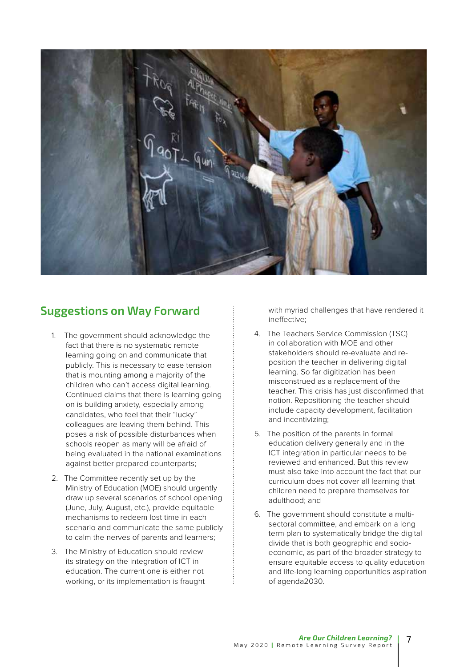

### **Suggestions on Way Forward**

- 1. The government should acknowledge the fact that there is no systematic remote learning going on and communicate that publicly. This is necessary to ease tension that is mounting among a majority of the children who can't access digital learning. Continued claims that there is learning going on is building anxiety, especially among candidates, who feel that their "lucky" colleagues are leaving them behind. This poses a risk of possible disturbances when schools reopen as many will be afraid of being evaluated in the national examinations against better prepared counterparts;
- 2. The Committee recently set up by the Ministry of Education (MOE) should urgently draw up several scenarios of school opening (June, July, August, etc.), provide equitable mechanisms to redeem lost time in each scenario and communicate the same publicly to calm the nerves of parents and learners;
- 3. The Ministry of Education should review its strategy on the integration of ICT in education. The current one is either not working, or its implementation is fraught

with myriad challenges that have rendered it ineffective;

- 4. The Teachers Service Commission (TSC) in collaboration with MOE and other stakeholders should re-evaluate and reposition the teacher in delivering digital learning. So far digitization has been misconstrued as a replacement of the teacher. This crisis has just disconfirmed that notion. Repositioning the teacher should include capacity development, facilitation and incentivizing;
- 5. The position of the parents in formal education delivery generally and in the ICT integration in particular needs to be reviewed and enhanced. But this review must also take into account the fact that our curriculum does not cover all learning that children need to prepare themselves for adulthood; and
- 6. The government should constitute a multisectoral committee, and embark on a long term plan to systematically bridge the digital divide that is both geographic and socioeconomic, as part of the broader strategy to ensure equitable access to quality education and life-long learning opportunities aspiration of agenda2030.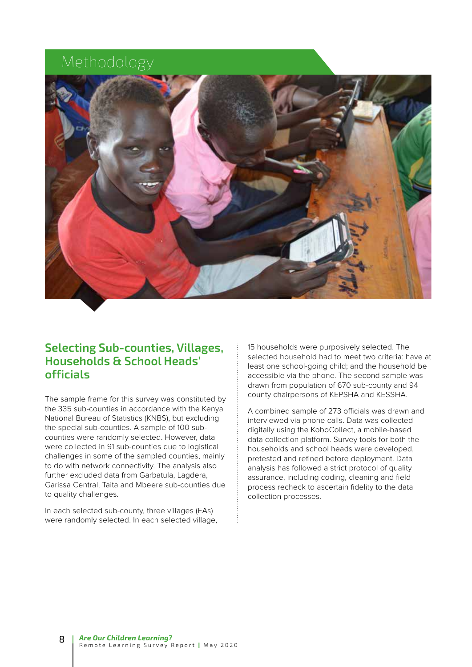# Methodology



### **Selecting Sub-counties, Villages, Households & School Heads' officials**

The sample frame for this survey was constituted by the 335 sub-counties in accordance with the Kenya National Bureau of Statistics (KNBS), but excluding the special sub-counties. A sample of 100 subcounties were randomly selected. However, data were collected in 91 sub-counties due to logistical challenges in some of the sampled counties, mainly to do with network connectivity. The analysis also further excluded data from Garbatula, Lagdera, Garissa Central, Taita and Mbeere sub-counties due to quality challenges.

In each selected sub-county, three villages (EAs) were randomly selected. In each selected village, 15 households were purposively selected. The selected household had to meet two criteria: have at least one school-going child; and the household be accessible via the phone. The second sample was drawn from population of 670 sub-county and 94 county chairpersons of KEPSHA and KESSHA.

A combined sample of 273 officials was drawn and interviewed via phone calls. Data was collected digitally using the KoboCollect, a mobile-based data collection platform. Survey tools for both the households and school heads were developed, pretested and refined before deployment. Data analysis has followed a strict protocol of quality assurance, including coding, cleaning and field process recheck to ascertain fidelity to the data collection processes.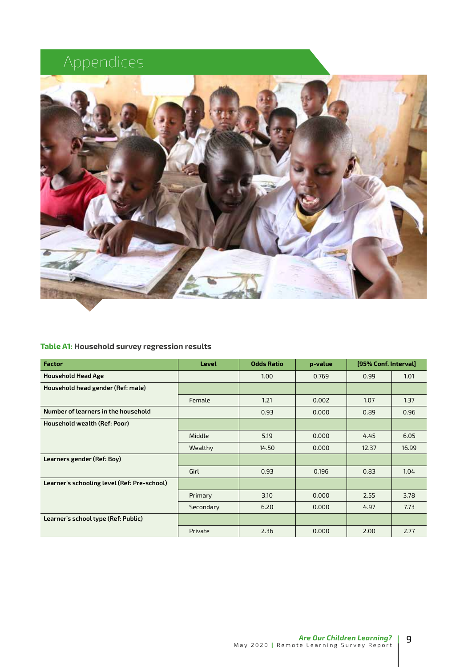# Appendices



#### **Table A1: Household survey regression results**

| <b>Factor</b>                               | <b>Level</b> | <b>Odds Ratio</b> | p-value | [95% Conf. Interval] |       |
|---------------------------------------------|--------------|-------------------|---------|----------------------|-------|
| <b>Household Head Age</b>                   |              | 1.00              | 0.769   | 0.99                 | 1.01  |
| Household head gender (Ref: male)           |              |                   |         |                      |       |
|                                             | Female       | 1.21              | 0.002   | 1.07                 | 1.37  |
| Number of learners in the household         |              | 0.93              | 0.000   | 0.89                 | 0.96  |
| Household wealth (Ref: Poor)                |              |                   |         |                      |       |
|                                             | Middle       | 5.19              | 0.000   | 4.45                 | 6.05  |
|                                             | Wealthy      | 14.50             | 0.000   | 12.37                | 16.99 |
| Learners gender (Ref: Boy)                  |              |                   |         |                      |       |
|                                             | Girl         | 0.93              | 0.196   | 0.83                 | 1.04  |
| Learner's schooling level (Ref: Pre-school) |              |                   |         |                      |       |
|                                             | Primary      | 3.10              | 0.000   | 2.55                 | 3.78  |
|                                             | Secondary    | 6.20              | 0.000   | 4.97                 | 7.73  |
| Learner's school type (Ref: Public)         |              |                   |         |                      |       |
|                                             | Private      | 2.36              | 0.000   | 2.00                 | 2.77  |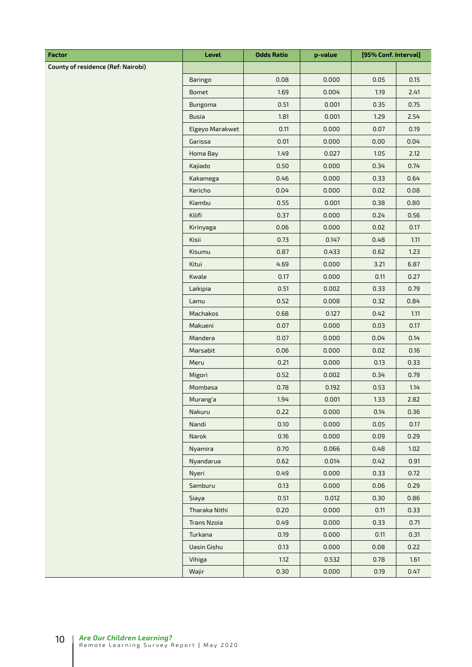| <b>Factor</b>                             | Level              | <b>Odds Ratio</b> | p-value | [95% Conf. Interval] |      |
|-------------------------------------------|--------------------|-------------------|---------|----------------------|------|
| <b>County of residence (Ref: Nairobi)</b> |                    |                   |         |                      |      |
|                                           | Baringo            | 0.08              | 0.000   | 0.05                 | 0.15 |
|                                           | Bomet              | 1.69              | 0.004   | 1.19                 | 2.41 |
|                                           | Bungoma            | 0.51              | 0.001   | 0.35                 | 0.75 |
|                                           | <b>Busia</b>       | 1.81              | 0.001   | 1.29                 | 2.54 |
|                                           | Elgeyo Marakwet    | 0.11              | 0.000   | 0.07                 | 0.19 |
|                                           | Garissa            | 0.01              | 0.000   | 0.00                 | 0.04 |
|                                           | Homa Bay           | 1.49              | 0.027   | 1.05                 | 2.12 |
|                                           | Kajiado            | 0.50              | 0.000   | 0.34                 | 0.74 |
|                                           | Kakamega           | 0.46              | 0.000   | 0.33                 | 0.64 |
|                                           | Kericho            | 0.04              | 0.000   | 0.02                 | 0.08 |
|                                           | Kiambu             | 0.55              | 0.001   | 0.38                 | 0.80 |
|                                           | Kilifi             | 0.37              | 0.000   | 0.24                 | 0.56 |
|                                           | Kirinyaga          | 0.06              | 0.000   | 0.02                 | 0.17 |
|                                           | Kisii              | 0.73              | 0.147   | 0.48                 | 1.11 |
|                                           | Kisumu             | 0.87              | 0.433   | 0.62                 | 1.23 |
|                                           | Kitui              | 4.69              | 0.000   | 3.21                 | 6.87 |
|                                           | Kwale              | 0.17              | 0.000   | 0.11                 | 0.27 |
|                                           | Laikipia           | 0.51              | 0.002   | 0.33                 | 0.79 |
|                                           | Lamu               | 0.52              | 0.008   | 0.32                 | 0.84 |
|                                           | Machakos           | 0.68              | 0.127   | 0.42                 | 1.11 |
|                                           | Makueni            | 0.07              | 0.000   | 0.03                 | 0.17 |
|                                           | Mandera            | 0.07              | 0.000   | 0.04                 | 0.14 |
|                                           | Marsabit           | 0.06              | 0.000   | 0.02                 | 0.16 |
|                                           | Meru               | 0.21              | 0.000   | 0.13                 | 0.33 |
|                                           | Migori             | 0.52              | 0.002   | 0.34                 | 0.79 |
|                                           | Mombasa            | 0.78              | 0.192   | 0.53                 | 1.14 |
|                                           | Murang'a           | 1.94              | 0.001   | 1.33                 | 2.82 |
|                                           | Nakuru             | 0.22              | 0.000   | 0.14                 | 0.36 |
|                                           | Nandi              | 0.10              | 0.000   | 0.05                 | 0.17 |
|                                           | Narok              | 0.16              | 0.000   | 0.09                 | 0.29 |
|                                           | Nyamira            | 0.70              | 0.066   | 0.48                 | 1.02 |
|                                           | Nyandarua          | 0.62              | 0.014   | 0.42                 | 0.91 |
|                                           | Nyeri              | 0.49              | 0.000   | 0.33                 | 0.72 |
|                                           | Samburu            | 0.13              | 0.000   | 0.06                 | 0.29 |
|                                           | Siaya              | 0.51              | 0.012   | 0.30                 | 0.86 |
|                                           | Tharaka Nithi      | 0.20              | 0.000   | 0.11                 | 0.33 |
|                                           | <b>Trans Nzoia</b> | 0.49              | 0.000   | 0.33                 | 0.71 |
|                                           | Turkana            | 0.19              | 0.000   | 0.11                 | 0.31 |
|                                           | Uasin Gishu        | 0.13              | 0.000   | 0.08                 | 0.22 |
|                                           | Vihiga             | 1.12              | 0.532   | 0.78                 | 1.61 |
|                                           | Wajir              | 0.30              | 0.000   | 0.19                 | 0.47 |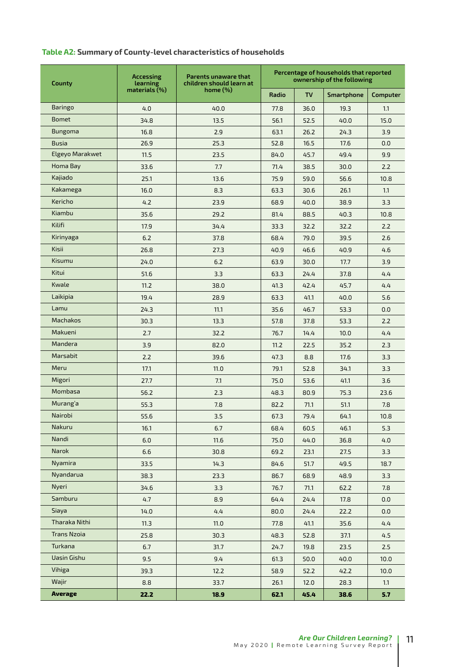#### **Table A2: Summary of County-level characteristics of households**

| County             | <b>Accessing</b><br>learning | Parents unaware that<br>children should learn at | Percentage of households that reported<br>ownership of the following |           |            |          |
|--------------------|------------------------------|--------------------------------------------------|----------------------------------------------------------------------|-----------|------------|----------|
|                    | $materials (\%)$             | home $(\%)$                                      | Radio                                                                | <b>TV</b> | Smartphone | Computer |
| <b>Baringo</b>     | 4.0                          | 40.0                                             | 77.8                                                                 | 36.0      | 19.3       | 1.1      |
| <b>Bomet</b>       | 34.8                         | 13.5                                             | 56.1                                                                 | 52.5      | 40.0       | 15.0     |
| <b>Bungoma</b>     | 16.8                         | 2.9                                              | 63.1                                                                 | 26.2      | 24.3       | 3.9      |
| <b>Busia</b>       | 26.9                         | 25.3                                             | 52.8                                                                 | 16.5      | 17.6       | 0.0      |
| Elgeyo Marakwet    | 11.5                         | 23.5                                             | 84.0                                                                 | 45.7      | 49.4       | 9.9      |
| Homa Bay           | 33.6                         | 7.7                                              | 71.4                                                                 | 38.5      | 30.0       | 2.2      |
| Kajiado            | 25.1                         | 13.6                                             | 75.9                                                                 | 59.0      | 56.6       | 10.8     |
| Kakamega           | 16.0                         | 8.3                                              | 63.3                                                                 | 30.6      | 26.1       | 1.1      |
| Kericho            | 4.2                          | 23.9                                             | 68.9                                                                 | 40.0      | 38.9       | 3.3      |
| Kiambu             | 35.6                         | 29.2                                             | 81.4                                                                 | 88.5      | 40.3       | 10.8     |
| Kilifi             | 17.9                         | 34.4                                             | 33.3                                                                 | 32.2      | 32.2       | 2.2      |
| Kirinyaga          | 6.2                          | 37.8                                             | 68.4                                                                 | 79.0      | 39.5       | 2.6      |
| Kisii              | 26.8                         | 27.3                                             | 40.9                                                                 | 46.6      | 40.9       | 4.6      |
| Kisumu             | 24.0                         | 6.2                                              | 63.9                                                                 | 30.0      | 17.7       | 3.9      |
| Kitui              | 51.6                         | 3.3                                              | 63.3                                                                 | 24.4      | 37.8       | 4.4      |
| Kwale              | 11.2                         | 38.0                                             | 41.3                                                                 | 42.4      | 45.7       | 4.4      |
| Laikipia           | 19.4                         | 28.9                                             | 63.3                                                                 | 41.1      | 40.0       | 5.6      |
| Lamu               | 24.3                         | 11.1                                             | 35.6                                                                 | 46.7      | 53.3       | 0.0      |
| <b>Machakos</b>    | 30.3                         | 13.3                                             | 57.8                                                                 | 37.8      | 53.3       | 2.2      |
| Makueni            | 2.7                          | 32.2                                             | 76.7                                                                 | 14.4      | 10.0       | 4.4      |
| Mandera            | 3.9                          | 82.0                                             | 11.2                                                                 | 22.5      | 35.2       | 2.3      |
| Marsabit           | 2.2                          | 39.6                                             | 47.3                                                                 | 8.8       | 17.6       | 3.3      |
| Meru               | 17.1                         | 11.0                                             | 79.1                                                                 | 52.8      | 34.1       | 3.3      |
| Migori             | 27.7                         | 7.1                                              | 75.0                                                                 | 53.6      | 41.1       | 3.6      |
| Mombasa            | 56.2                         | 2.3                                              | 48.3                                                                 | 80.9      | 75.3       | 23.6     |
| Murang'a           | 55.3                         | 7.8                                              | 82.2                                                                 | 71.1      | 51.1       | 7.8      |
| Nairobi            | 55.6                         | 3.5                                              | 67.3                                                                 | 79.4      | 64.1       | 10.8     |
| Nakuru             | 16.1                         | 6.7                                              | 68.4                                                                 | 60.5      | 46.1       | 5.3      |
| Nandi              | 6.0                          | 11.6                                             | 75.0                                                                 | 44.0      | 36.8       | 4.0      |
| Narok              | 6.6                          | 30.8                                             | 69.2                                                                 | 23.1      | 27.5       | 3.3      |
| Nyamira            | 33.5                         | 14.3                                             | 84.6                                                                 | 51.7      | 49.5       | 18.7     |
| Nyandarua          | 38.3                         | 23.3                                             | 86.7                                                                 | 68.9      | 48.9       | 3.3      |
| Nyeri              | 34.6                         | 3.3                                              | 76.7                                                                 | 71.1      | 62.2       | 7.8      |
| Samburu            | 4.7                          | 8.9                                              | 64.4                                                                 | 24.4      | 17.8       | 0.0      |
| Siaya              | 14.0                         | 4.4                                              | 80.0                                                                 | 24.4      | 22.2       | 0.0      |
| Tharaka Nithi      | 11.3                         | 11.0                                             | 77.8                                                                 | 41.1      | 35.6       | 4.4      |
| <b>Trans Nzoia</b> | 25.8                         | 30.3                                             | 48.3                                                                 | 52.8      | 37.1       | 4.5      |
| Turkana            | 6.7                          | 31.7                                             | 24.7                                                                 | 19.8      | 23.5       | 2.5      |
| Uasin Gishu        | 9.5                          | 9.4                                              | 61.3                                                                 | 50.0      | 40.0       | 10.0     |
| Vihiga             | 39.3                         | 12.2                                             | 58.9                                                                 | 52.2      | 42.2       | 10.0     |
| Wajir              | 8.8                          | 33.7                                             | 26.1                                                                 | 12.0      | 28.3       | 1.1      |
| <b>Average</b>     | 22.2                         | 18.9                                             | 62.1                                                                 | 45.4      | 38.6       | 5.7      |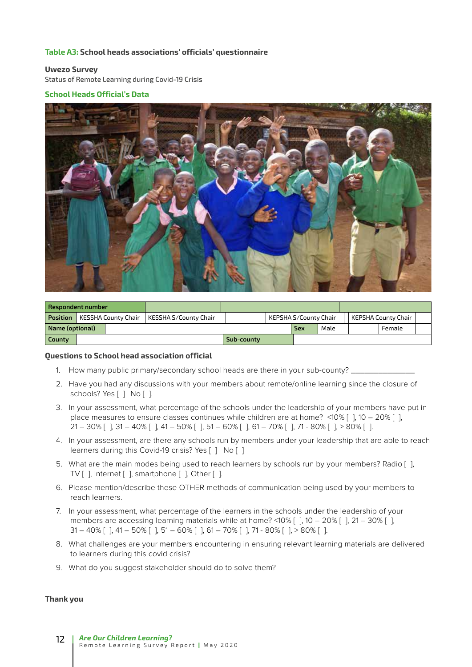#### **Table A3: School heads associations' officials' questionnaire**

#### **Uwezo Survey**

Status of Remote Learning during Covid-19 Crisis

#### **School Heads Official's Data**



| Respondent number |                     |  |                       |            |                       |      |  |                     |  |  |
|-------------------|---------------------|--|-----------------------|------------|-----------------------|------|--|---------------------|--|--|
| Position          | KESSHA County Chair |  | KESSHA S/County Chair |            | KEPSHA S/County Chair |      |  | KEPSHA County Chair |  |  |
| Name (optional)   |                     |  |                       |            | <b>Sex</b>            | Male |  | Female              |  |  |
| County            |                     |  |                       | Sub-county |                       |      |  |                     |  |  |

#### **Questions to School head association official**

- 1. How many public primary/secondary school heads are there in your sub-county? \_
- 2. Have you had any discussions with your members about remote/online learning since the closure of schools? Yes [ ] No [ ].
- 3. In your assessment, what percentage of the schools under the leadership of your members have put in place measures to ensure classes continues while children are at home? <10% [ ], 10 – 20% [ ],  $21 - 30\%$  [],  $31 - 40\%$  [],  $41 - 50\%$  [],  $51 - 60\%$  [],  $61 - 70\%$  [],  $71 - 80\%$  [],  $> 80\%$  [].
- 4. In your assessment, are there any schools run by members under your leadership that are able to reach learners during this Covid-19 crisis? Yes [ ] No [ ]
- 5. What are the main modes being used to reach learners by schools run by your members? Radio [ ], TV [ ], Internet [ ], smartphone [ ], Other [ ].
- 6. Please mention/describe these OTHER methods of communication being used by your members to reach learners.
- 7. In your assessment, what percentage of the learners in the schools under the leadership of your members are accessing learning materials while at home? <10% [ ], 10 – 20% [ ], 21 – 30% [ ], 31 – 40% [ ], 41 – 50% [ ], 51 – 60% [ ], 61 – 70% [ ], 71 - 80% [ ], > 80% [ ].
- 8. What challenges are your members encountering in ensuring relevant learning materials are delivered to learners during this covid crisis?
- 9. What do you suggest stakeholder should do to solve them?

#### **Thank you**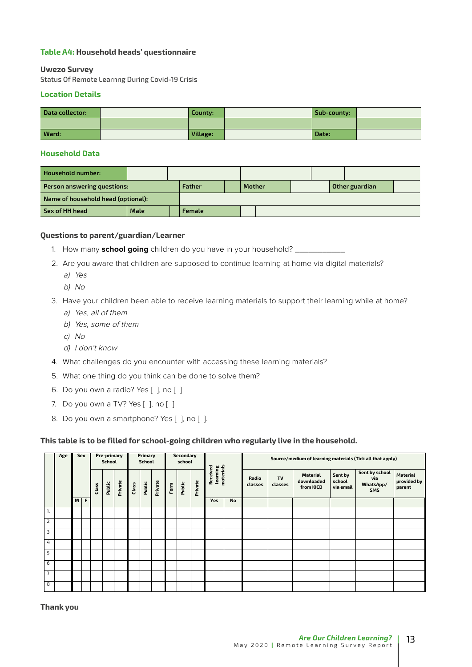#### **Table A4: Household heads' questionnaire**

#### **Uwezo Survey**

Status Of Remote Learnng During Covid-19 Crisis

#### **Location Details**

| Data collector: | County:  | Sub-county: |  |
|-----------------|----------|-------------|--|
|                 |          |             |  |
| Ward:           | Village: | Date:       |  |

#### **Household Data**

| <b>Household number:</b>           |      |  |               |        |  |                |  |  |  |
|------------------------------------|------|--|---------------|--------|--|----------------|--|--|--|
| Person answering questions:        |      |  | Father        | Mother |  | Other guardian |  |  |  |
| Name of household head (optional): |      |  |               |        |  |                |  |  |  |
| Sex of HH head                     | Male |  | <b>Female</b> |        |  |                |  |  |  |

#### **Questions to parent/guardian/Learner**

- 1. How many **school going** children do you have in your household? \_\_\_\_\_\_\_\_\_\_\_
- 2. Are you aware that children are supposed to continue learning at home via digital materials?
	- a) Yes
	- b) No
- 3. Have your children been able to receive learning materials to support their learning while at home?
	- a) Yes, all of them
	- b) Yes, some of them
	- c) No
	- d) I don't know
- 4. What challenges do you encounter with accessing these learning materials?
- 5. What one thing do you think can be done to solve them?
- 6. Do you own a radio? Yes [], no []
- 7. Do you own a TV? Yes [ ], no [ ]
- 8. Do you own a smartphone? Yes [ ], no [ ].

#### **This table is to be filled for school-going children who regularly live in the household.**

|                | Age | Sex   | Pre-primary<br><b>School</b> |        |         | Primary<br><b>School</b> |        |         | Secondary<br>school |        |         |                                   |           | Source/medium of learning materials (Tick all that apply) |               |                                     |                                |                                                  |                                   |
|----------------|-----|-------|------------------------------|--------|---------|--------------------------|--------|---------|---------------------|--------|---------|-----------------------------------|-----------|-----------------------------------------------------------|---------------|-------------------------------------|--------------------------------|--------------------------------------------------|-----------------------------------|
|                |     |       | Class                        | Public | Private | Class                    | Public | Private | $\frac{1}{2}$       | Public | Private | learning<br>materials<br>Received |           | Radio<br>classes                                          | TV<br>classes | Material<br>downloaded<br>from KICD | Sent by<br>school<br>via email | Sent by school<br>via<br>WhatsApp/<br><b>SMS</b> | Material<br>provided by<br>parent |
|                |     | $M$ F |                              |        |         |                          |        |         |                     |        |         | Yes                               | <b>No</b> |                                                           |               |                                     |                                |                                                  |                                   |
|                |     |       |                              |        |         |                          |        |         |                     |        |         |                                   |           |                                                           |               |                                     |                                |                                                  |                                   |
| $\overline{2}$ |     |       |                              |        |         |                          |        |         |                     |        |         |                                   |           |                                                           |               |                                     |                                |                                                  |                                   |
| $\overline{3}$ |     |       |                              |        |         |                          |        |         |                     |        |         |                                   |           |                                                           |               |                                     |                                |                                                  |                                   |
| 4              |     |       |                              |        |         |                          |        |         |                     |        |         |                                   |           |                                                           |               |                                     |                                |                                                  |                                   |
| 5              |     |       |                              |        |         |                          |        |         |                     |        |         |                                   |           |                                                           |               |                                     |                                |                                                  |                                   |
| 6              |     |       |                              |        |         |                          |        |         |                     |        |         |                                   |           |                                                           |               |                                     |                                |                                                  |                                   |
| $\overline{7}$ |     |       |                              |        |         |                          |        |         |                     |        |         |                                   |           |                                                           |               |                                     |                                |                                                  |                                   |
| 8              |     |       |                              |        |         |                          |        |         |                     |        |         |                                   |           |                                                           |               |                                     |                                |                                                  |                                   |

**Thank you**